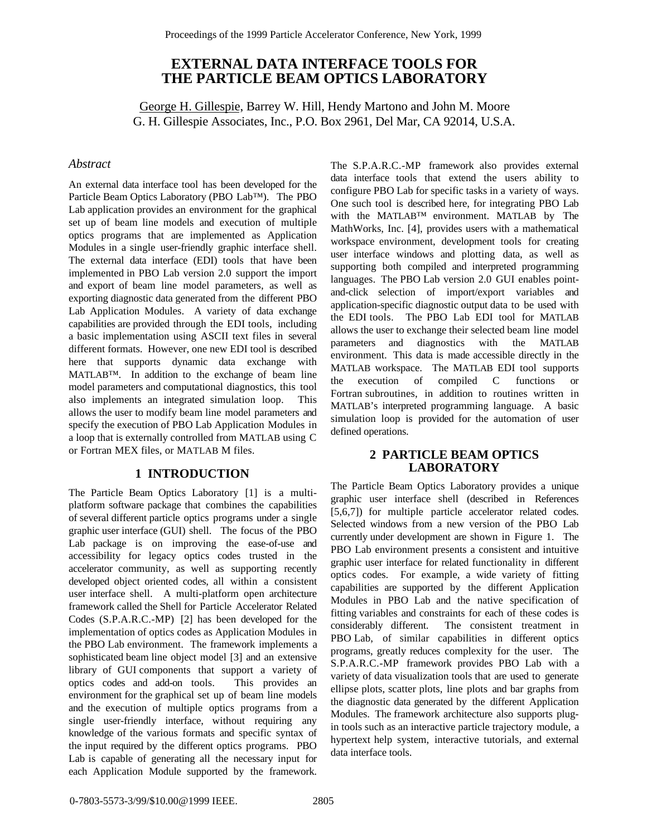# **EXTERNAL DATA INTERFACE TOOLS FOR THE PARTICLE BEAM OPTICS LABORATORY**

George H. Gillespie, Barrey W. Hill, Hendy Martono and John M. Moore G. H. Gillespie Associates, Inc., P.O. Box 2961, Del Mar, CA 92014, U.S.A.

#### *Abstract*

An external data interface tool has been developed for the Particle Beam Optics Laboratory (PBO Lab™). The PBO Lab application provides an environment for the graphical set up of beam line models and execution of multiple optics programs that are implemented as Application Modules in a single user-friendly graphic interface shell. The external data interface (EDI) tools that have been implemented in PBO Lab version 2.0 support the import and export of beam line model parameters, as well as exporting diagnostic data generated from the different PBO Lab Application Modules. A variety of data exchange capabilities are provided through the EDI tools, including a basic implementation using ASCII text files in several different formats. However, one new EDI tool is described here that supports dynamic data exchange with MATLAB™. In addition to the exchange of beam line model parameters and computational diagnostics, this tool also implements an integrated simulation loop. This allows the user to modify beam line model parameters and specify the execution of PBO Lab Application Modules in a loop that is externally controlled from MATLAB using C or Fortran MEX files, or MATLAB M files.

### **1 INTRODUCTION**

The Particle Beam Optics Laboratory [1] is a multiplatform software package that combines the capabilities of several different particle optics programs under a single graphic user interface (GUI) shell. The focus of the PBO Lab package is on improving the ease-of-use and accessibility for legacy optics codes trusted in the accelerator community, as well as supporting recently developed object oriented codes, all within a consistent user interface shell. A multi-platform open architecture framework called the Shell for Particle Accelerator Related Codes (S.P.A.R.C.-MP) [2] has been developed for the implementation of optics codes as Application Modules in the PBO Lab environment. The framework implements a sophisticated beam line object model [3] and an extensive library of GUI components that support a variety of optics codes and add-on tools. This provides an environment for the graphical set up of beam line models and the execution of multiple optics programs from a single user-friendly interface, without requiring any knowledge of the various formats and specific syntax of the input required by the different optics programs. PBO Lab is capable of generating all the necessary input for each Application Module supported by the framework.

The S.P.A.R.C.-MP framework also provides external data interface tools that extend the users ability to configure PBO Lab for specific tasks in a variety of ways. One such tool is described here, for integrating PBO Lab with the MATLAB™ environment. MATLAB by The MathWorks, Inc. [4], provides users with a mathematical workspace environment, development tools for creating user interface windows and plotting data, as well as supporting both compiled and interpreted programming languages. The PBO Lab version 2.0 GUI enables pointand-click selection of import/export variables and application-specific diagnostic output data to be used with the EDI tools. The PBO Lab EDI tool for MATLAB allows the user to exchange their selected beam line model parameters and diagnostics with the MATLAB environment. This data is made accessible directly in the MATLAB workspace. The MATLAB EDI tool supports the execution of compiled C functions or Fortran subroutines, in addition to routines written in MATLAB's interpreted programming language. A basic simulation loop is provided for the automation of user defined operations.

## **2 PARTICLE BEAM OPTICS LABORATORY**

The Particle Beam Optics Laboratory provides a unique graphic user interface shell (described in References [5,6,7]) for multiple particle accelerator related codes. Selected windows from a new version of the PBO Lab currently under development are shown in Figure 1. The PBO Lab environment presents a consistent and intuitive graphic user interface for related functionality in different optics codes. For example, a wide variety of fitting capabilities are supported by the different Application Modules in PBO Lab and the native specification of fitting variables and constraints for each of these codes is considerably different. The consistent treatment in PBO Lab, of similar capabilities in different optics programs, greatly reduces complexity for the user. The S.P.A.R.C.-MP framework provides PBO Lab with a variety of data visualization tools that are used to generate ellipse plots, scatter plots, line plots and bar graphs from the diagnostic data generated by the different Application Modules. The framework architecture also supports plugin tools such as an interactive particle trajectory module, a hypertext help system, interactive tutorials, and external data interface tools.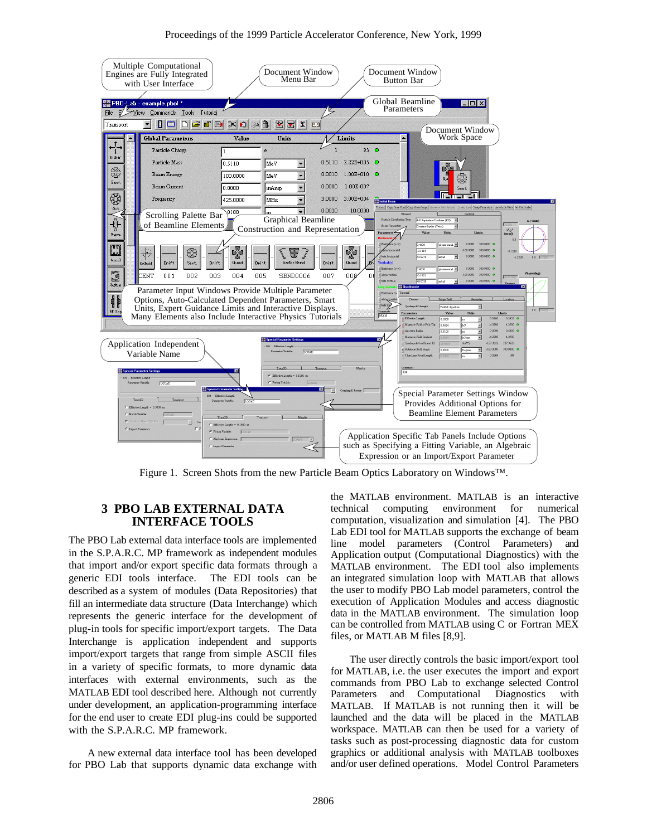

Figure 1. Screen Shots from the new Particle Beam Optics Laboratory on Windows™.

## **3 PBO LAB EXTERNAL DATA INTERFACE TOOLS**

The PBO Lab external data interface tools are implemented in the S.P.A.R.C. MP framework as independent modules that import and/or export specific data formats through a generic EDI tools interface. The EDI tools can be described as a system of modules (Data Repositories) that fill an intermediate data structure (Data Interchange) which represents the generic interface for the development of plug-in tools for specific import/export targets. The Data Interchange is application independent and supports import/export targets that range from simple ASCII files in a variety of specific formats, to more dynamic data interfaces with external environments, such as the MATLAB EDI tool described here. Although not currently under development, an application-programming interface for the end user to create EDI plug-ins could be supported with the S.P.A.R.C. MP framework.

A new external data interface tool has been developed for PBO Lab that supports dynamic data exchange with the MATLAB environment. MATLAB is an interactive technical computing environment for numerical computation, visualization and simulation [4]. The PBO Lab EDI tool for MATLAB supports the exchange of beam line model parameters (Control Parameters) and Application output (Computational Diagnostics) with the MATLAB environment. The EDI tool also implements an integrated simulation loop with MATLAB that allows the user to modify PBO Lab model parameters, control the execution of Application Modules and access diagnostic data in the MATLAB environment. The simulation loop can be controlled from MATLAB using C or Fortran MEX files, or MATLAB M files [8,9].

The user directly controls the basic import/export tool for MATLAB, i.e. the user executes the import and export commands from PBO Lab to exchange selected Control Parameters and Computational Diagnostics with MATLAB. If MATLAB is not running then it will be launched and the data will be placed in the MATLAB workspace. MATLAB can then be used for a variety of tasks such as post-processing diagnostic data for custom graphics or additional analysis with MATLAB toolboxes and/or user defined operations. Model Control Parameters